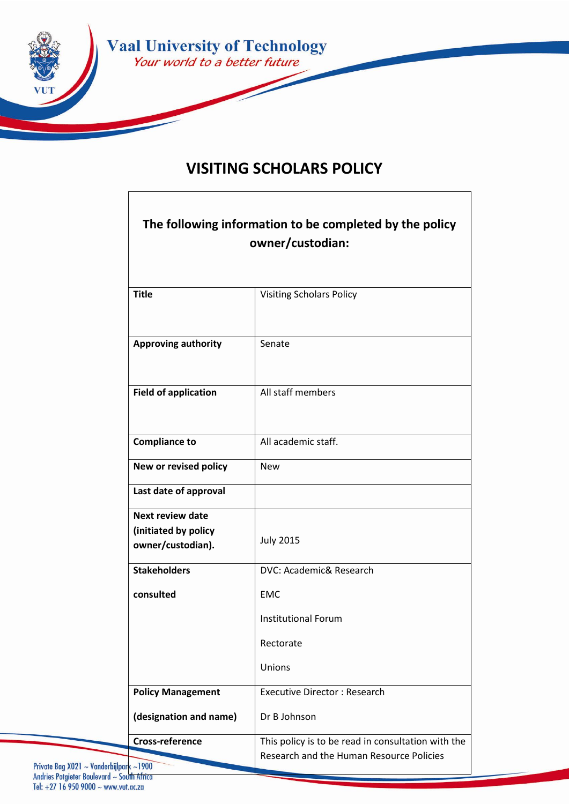

# **VISITING SCHOLARS POLICY**

| The following information to be completed by the policy<br>owner/custodian: |                                                                                                |
|-----------------------------------------------------------------------------|------------------------------------------------------------------------------------------------|
| <b>Title</b>                                                                | <b>Visiting Scholars Policy</b>                                                                |
| <b>Approving authority</b>                                                  | Senate                                                                                         |
| <b>Field of application</b>                                                 | All staff members                                                                              |
| <b>Compliance to</b>                                                        | All academic staff.                                                                            |
| New or revised policy                                                       | <b>New</b>                                                                                     |
| Last date of approval                                                       |                                                                                                |
| <b>Next review date</b><br>(initiated by policy<br>owner/custodian).        | <b>July 2015</b>                                                                               |
| <b>Stakeholders</b>                                                         | DVC: Academic& Research                                                                        |
| consulted                                                                   | <b>EMC</b>                                                                                     |
|                                                                             | <b>Institutional Forum</b>                                                                     |
|                                                                             | Rectorate                                                                                      |
|                                                                             | Unions                                                                                         |
| <b>Policy Management</b>                                                    | <b>Executive Director: Research</b>                                                            |
| (designation and name)                                                      | Dr B Johnson                                                                                   |
| <b>Cross-reference</b><br>$ark$ ~1900                                       | This policy is to be read in consultation with the<br>Research and the Human Resource Policies |

Private Bag X021 ~ Vanderbijlpark ~1900<br>Andries Potgieter Boulevard ~ South Africa Tel: +27 16 950 9000 ~ www.vut.ac.za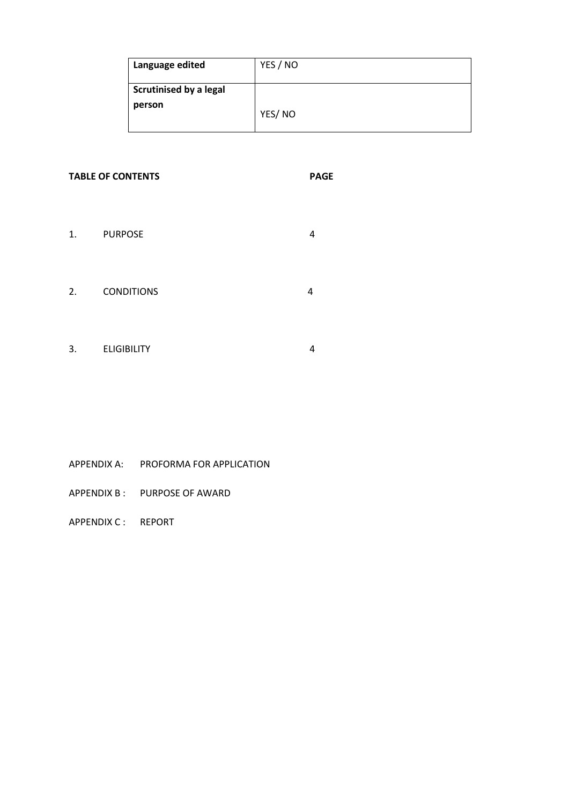| Language edited                         | YES / NO |
|-----------------------------------------|----------|
| <b>Scrutinised by a legal</b><br>person | YES/NO   |

## **TABLE OF CONTENTS PAGE**

- 1. PURPOSE 4
- 2. CONDITIONS 4
- 3. ELIGIBILITY 4

- APPENDIX A: PROFORMA FOR APPLICATION
- APPENDIX B : PURPOSE OF AWARD

APPENDIX C : REPORT